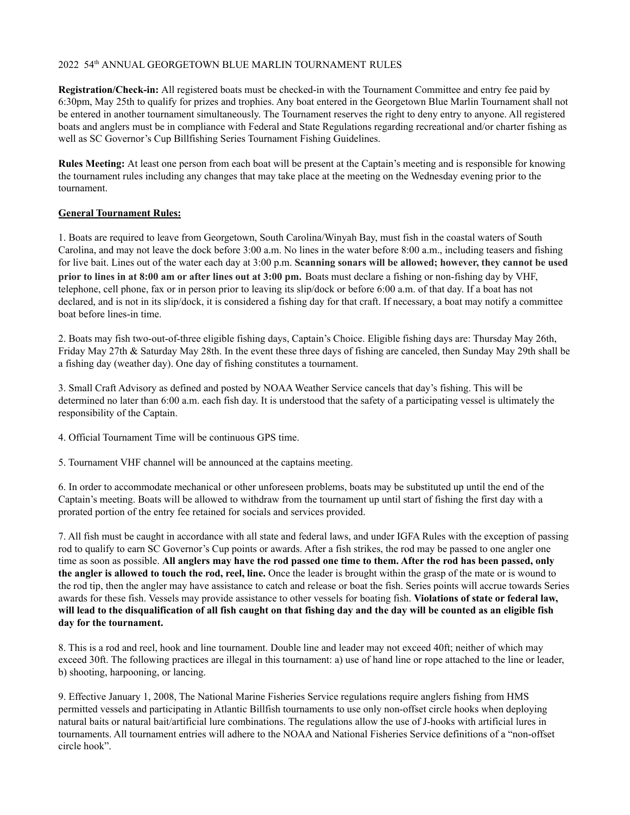## 2022 54<sup>th</sup> ANNUAL GEORGETOWN BLUE MARLIN TOURNAMENT RULES

**Registration/Check-in:** All registered boats must be checked-in with the Tournament Committee and entry fee paid by 6:30pm, May 25th to qualify for prizes and trophies. Any boat entered in the Georgetown Blue Marlin Tournament shall not be entered in another tournament simultaneously. The Tournament reserves the right to deny entry to anyone. All registered boats and anglers must be in compliance with Federal and State Regulations regarding recreational and/or charter fishing as well as SC Governor's Cup Billfishing Series Tournament Fishing Guidelines.

**Rules Meeting:** At least one person from each boat will be present at the Captain's meeting and is responsible for knowing the tournament rules including any changes that may take place at the meeting on the Wednesday evening prior to the tournament.

## **General Tournament Rules:**

1. Boats are required to leave from Georgetown, South Carolina/Winyah Bay, must fish in the coastal waters of South Carolina, and may not leave the dock before 3:00 a.m. No lines in the water before 8:00 a.m., including teasers and fishing for live bait. Lines out of the water each day at 3:00 p.m. **Scanning sonars will be allowed; however, they cannot be used prior to lines in at 8:00 am or after lines out at 3:00 pm.** Boats must declare a fishing or non-fishing day by VHF, telephone, cell phone, fax or in person prior to leaving its slip/dock or before 6:00 a.m. of that day. If a boat has not declared, and is not in its slip/dock, it is considered a fishing day for that craft. If necessary, a boat may notify a committee boat before lines-in time.

2. Boats may fish two-out-of-three eligible fishing days, Captain's Choice. Eligible fishing days are: Thursday May 26th, Friday May 27th & Saturday May 28th. In the event these three days of fishing are canceled, then Sunday May 29th shall be a fishing day (weather day). One day of fishing constitutes a tournament.

3. Small Craft Advisory as defined and posted by NOAA Weather Service cancels that day's fishing. This will be determined no later than 6:00 a.m. each fish day. It is understood that the safety of a participating vessel is ultimately the responsibility of the Captain.

4. Official Tournament Time will be continuous GPS time.

5. Tournament VHF channel will be announced at the captains meeting.

6. In order to accommodate mechanical or other unforeseen problems, boats may be substituted up until the end of the Captain's meeting. Boats will be allowed to withdraw from the tournament up until start of fishing the first day with a prorated portion of the entry fee retained for socials and services provided.

7. All fish must be caught in accordance with all state and federal laws, and under IGFA Rules with the exception of passing rod to qualify to earn SC Governor's Cup points or awards. After a fish strikes, the rod may be passed to one angler one time as soon as possible. All anglers may have the rod passed one time to them. After the rod has been passed, only **the angler is allowed to touch the rod, reel, line.** Once the leader is brought within the grasp of the mate or is wound to the rod tip, then the angler may have assistance to catch and release or boat the fish. Series points will accrue towards Series awards for these fish. Vessels may provide assistance to other vessels for boating fish. **Violations of state or federal law,** will lead to the disqualification of all fish caught on that fishing day and the day will be counted as an eligible fish **day for the tournament.**

8. This is a rod and reel, hook and line tournament. Double line and leader may not exceed 40ft; neither of which may exceed 30ft. The following practices are illegal in this tournament: a) use of hand line or rope attached to the line or leader, b) shooting, harpooning, or lancing.

9. Effective January 1, 2008, The National Marine Fisheries Service regulations require anglers fishing from HMS permitted vessels and participating in Atlantic Billfish tournaments to use only non-offset circle hooks when deploying natural baits or natural bait/artificial lure combinations. The regulations allow the use of J-hooks with artificial lures in tournaments. All tournament entries will adhere to the NOAA and National Fisheries Service definitions of a "non-offset circle hook".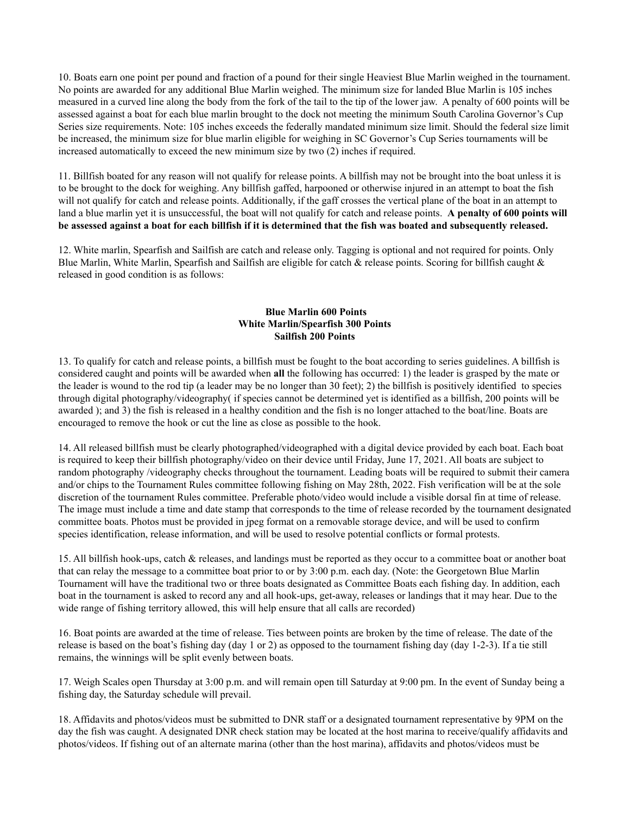10. Boats earn one point per pound and fraction of a pound for their single Heaviest Blue Marlin weighed in the tournament. No points are awarded for any additional Blue Marlin weighed. The minimum size for landed Blue Marlin is 105 inches measured in a curved line along the body from the fork of the tail to the tip of the lower jaw. A penalty of 600 points will be assessed against a boat for each blue marlin brought to the dock not meeting the minimum South Carolina Governor's Cup Series size requirements. Note: 105 inches exceeds the federally mandated minimum size limit. Should the federal size limit be increased, the minimum size for blue marlin eligible for weighing in SC Governor's Cup Series tournaments will be increased automatically to exceed the new minimum size by two (2) inches if required.

11. Billfish boated for any reason will not qualify for release points. A billfish may not be brought into the boat unless it is to be brought to the dock for weighing. Any billfish gaffed, harpooned or otherwise injured in an attempt to boat the fish will not qualify for catch and release points. Additionally, if the gaff crosses the vertical plane of the boat in an attempt to land a blue marlin yet it is unsuccessful, the boat will not qualify for catch and release points. **A penalty of 600 points will** be assessed against a boat for each billfish if it is determined that the fish was boated and subsequently released.

12. White marlin, Spearfish and Sailfish are catch and release only. Tagging is optional and not required for points. Only Blue Marlin, White Marlin, Spearfish and Sailfish are eligible for catch & release points. Scoring for billfish caught  $\&$ released in good condition is as follows:

## **Blue Marlin 600 Points White Marlin/Spearfish 300 Points Sailfish 200 Points**

13. To qualify for catch and release points, a billfish must be fought to the boat according to series guidelines. A billfish is considered caught and points will be awarded when **all** the following has occurred: 1) the leader is grasped by the mate or the leader is wound to the rod tip (a leader may be no longer than 30 feet); 2) the billfish is positively identified to species through digital photography/videography( if species cannot be determined yet is identified as a billfish, 200 points will be awarded ); and 3) the fish is released in a healthy condition and the fish is no longer attached to the boat/line. Boats are encouraged to remove the hook or cut the line as close as possible to the hook.

14. All released billfish must be clearly photographed/videographed with a digital device provided by each boat. Each boat is required to keep their billfish photography/video on their device until Friday, June 17, 2021. All boats are subject to random photography /videography checks throughout the tournament. Leading boats will be required to submit their camera and/or chips to the Tournament Rules committee following fishing on May 28th, 2022. Fish verification will be at the sole discretion of the tournament Rules committee. Preferable photo/video would include a visible dorsal fin at time of release. The image must include a time and date stamp that corresponds to the time of release recorded by the tournament designated committee boats. Photos must be provided in jpeg format on a removable storage device, and will be used to confirm species identification, release information, and will be used to resolve potential conflicts or formal protests.

15. All billfish hook-ups, catch & releases, and landings must be reported as they occur to a committee boat or another boat that can relay the message to a committee boat prior to or by 3:00 p.m. each day. (Note: the Georgetown Blue Marlin Tournament will have the traditional two or three boats designated as Committee Boats each fishing day. In addition, each boat in the tournament is asked to record any and all hook-ups, get-away, releases or landings that it may hear. Due to the wide range of fishing territory allowed, this will help ensure that all calls are recorded)

16. Boat points are awarded at the time of release. Ties between points are broken by the time of release. The date of the release is based on the boat's fishing day (day 1 or 2) as opposed to the tournament fishing day (day 1-2-3). If a tie still remains, the winnings will be split evenly between boats.

17. Weigh Scales open Thursday at 3:00 p.m. and will remain open till Saturday at 9:00 pm. In the event of Sunday being a fishing day, the Saturday schedule will prevail.

18. Affidavits and photos/videos must be submitted to DNR staff or a designated tournament representative by 9PM on the day the fish was caught. A designated DNR check station may be located at the host marina to receive/qualify affidavits and photos/videos. If fishing out of an alternate marina (other than the host marina), affidavits and photos/videos must be